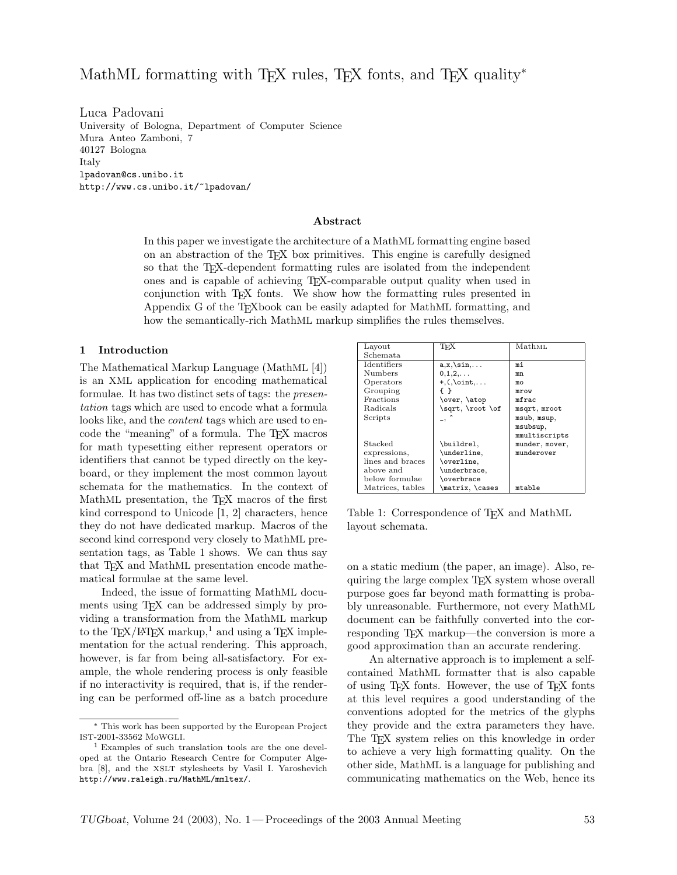Luca Padovani University of Bologna, Department of Computer Science Mura Anteo Zamboni, 7 40127 Bologna Italy lpadovan@cs.unibo.it http://www.cs.unibo.it/~lpadovan/

### Abstract

In this paper we investigate the architecture of a MathML formatting engine based on an abstraction of the TEX box primitives. This engine is carefully designed so that the TEX-dependent formatting rules are isolated from the independent ones and is capable of achieving TEX-comparable output quality when used in conjunction with TEX fonts. We show how the formatting rules presented in Appendix G of the TEXbook can be easily adapted for MathML formatting, and how the semantically-rich MathML markup simplifies the rules themselves.

### 1 Introduction

The Mathematical Markup Language (MathML [4]) is an XML application for encoding mathematical formulae. It has two distinct sets of tags: the presentation tags which are used to encode what a formula looks like, and the *content* tags which are used to encode the "meaning" of a formula. The TEX macros for math typesetting either represent operators or identifiers that cannot be typed directly on the keyboard, or they implement the most common layout schemata for the mathematics. In the context of MathML presentation, the T<sub>E</sub>X macros of the first kind correspond to Unicode [1, 2] characters, hence they do not have dedicated markup. Macros of the second kind correspond very closely to MathML presentation tags, as Table 1 shows. We can thus say that T<sub>E</sub>X and MathML presentation encode mathematical formulae at the same level.

Indeed, the issue of formatting MathML documents using T<sub>E</sub>X can be addressed simply by providing a transformation from the MathML markup to the TEX/LATEX markup,<sup>1</sup> and using a TEX implementation for the actual rendering. This approach, however, is far from being all-satisfactory. For example, the whole rendering process is only feasible if no interactivity is required, that is, if the rendering can be performed off-line as a batch procedure

| Layout             | TFX                         | Math <sub>ML</sub> |
|--------------------|-----------------------------|--------------------|
| Schemata.          |                             |                    |
| <b>Identifiers</b> | $a, x, \sin, \ldots$        | mi                 |
| Numbers            | $0, 1, 2, \ldots$           | mn                 |
| Operators          | $+, (,) \text{oint}, \dots$ | mo                 |
| Grouping           |                             | mrow               |
| Fractions          | \over, \atop                | mfrac              |
| Radicals           | \sqrt, \root \of            | msqrt, mroot       |
| Scripts            | $\overline{\phantom{a}}$    | msub, msup,        |
|                    |                             | msubsup.           |
|                    |                             | mmultiscripts      |
| Stacked            | \buildrel,                  | munder, mover,     |
| expressions,       | \underline,                 | munderover         |
| lines and braces   | \overline,                  |                    |
| above and          | \underbrace,                |                    |
| below formulae     | \overbrace                  |                    |
| Matrices, tables   | \matrix, \cases             | mtable             |

Table 1: Correspondence of T<sub>F</sub>X and MathML layout schemata.

on a static medium (the paper, an image). Also, requiring the large complex TEX system whose overall purpose goes far beyond math formatting is probably unreasonable. Furthermore, not every MathML document can be faithfully converted into the corresponding TEX markup—the conversion is more a good approximation than an accurate rendering.

An alternative approach is to implement a selfcontained MathML formatter that is also capable of using T<sub>E</sub>X fonts. However, the use of T<sub>E</sub>X fonts at this level requires a good understanding of the conventions adopted for the metrics of the glyphs they provide and the extra parameters they have. The TEX system relies on this knowledge in order to achieve a very high formatting quality. On the other side, MathML is a language for publishing and communicating mathematics on the Web, hence its

<sup>∗</sup> This work has been supported by the European Project IST-2001-33562 MoWGLI.

<sup>1</sup> Examples of such translation tools are the one developed at the Ontario Research Centre for Computer Algebra [8], and the XSLT stylesheets by Vasil I. Yaroshevich http://www.raleigh.ru/MathML/mmltex/.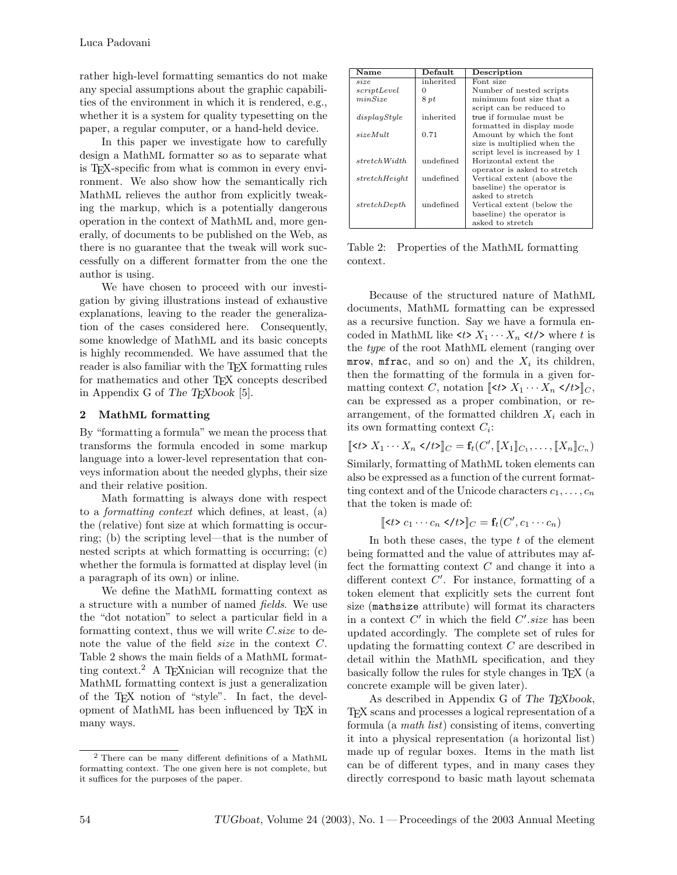rather high-level formatting semantics do not make any special assumptions about the graphic capabilities of the environment in which it is rendered, e.g., whether it is a system for quality typesetting on the paper, a regular computer, or a hand-held device.

In this paper we investigate how to carefully design a MathML formatter so as to separate what is TEX-specific from what is common in every environment. We also show how the semantically rich MathML relieves the author from explicitly tweaking the markup, which is a potentially dangerous operation in the context of MathML and, more generally, of documents to be published on the Web, as there is no guarantee that the tweak will work successfully on a different formatter from the one the author is using.

We have chosen to proceed with our investigation by giving illustrations instead of exhaustive explanations, leaving to the reader the generalization of the cases considered here. Consequently, some knowledge of MathML and its basic concepts is highly recommended. We have assumed that the reader is also familiar with the T<sub>E</sub>X formatting rules for mathematics and other TEX concepts described in Appendix G of The TEXbook [5].

## 2 MathML formatting

By "formatting a formula" we mean the process that transforms the formula encoded in some markup language into a lower-level representation that conveys information about the needed glyphs, their size and their relative position.

Math formatting is always done with respect to a formatting context which defines, at least, (a) the (relative) font size at which formatting is occurring; (b) the scripting level—that is the number of nested scripts at which formatting is occurring; (c) whether the formula is formatted at display level (in a paragraph of its own) or inline.

We define the MathML formatting context as a structure with a number of named fields. We use the "dot notation" to select a particular field in a formatting context, thus we will write  $C.size$  to denote the value of the field size in the context C. Table 2 shows the main fields of a MathML formatting context.<sup>2</sup> A T<sub>E</sub>Xnician will recognize that the MathML formatting context is just a generalization of the TEX notion of "style". In fact, the development of MathML has been influenced by TEX in many ways.

| Name          | Default   | Description                    |
|---------------|-----------|--------------------------------|
| size.         | inherited | Font size                      |
| scriptLevel   |           | Number of nested scripts       |
| minSize       | 8pt       | minimum font size that a       |
|               |           | script can be reduced to       |
| displayStyle  | inherited | true if formulae must be       |
|               |           | formatted in display mode      |
| sizeMult      | 0.71      | Amount by which the font       |
|               |           | size is multiplied when the    |
|               |           | script level is increased by 1 |
| stretch Width | undefined | Horizontal extent the          |
|               |           | operator is asked to stretch   |
| stretchHeight | undefined | Vertical extent (above the     |
|               |           | baseline) the operator is      |
|               |           | asked to stretch               |
| stretchDepth  | undefined | Vertical extent (below the     |
|               |           | baseline) the operator is      |
|               |           | asked to stretch               |

Table 2: Properties of the MathML formatting context.

Because of the structured nature of MathML documents, MathML formatting can be expressed as a recursive function. Say we have a formula encoded in MathML like  $\langle t \rangle X_1 \cdots X_n \langle t \rangle$  where t is the type of the root MathML element (ranging over mrow, mfrac, and so on) and the  $X_i$  its children, then the formatting of the formula in a given formatting context C, notation  $\llbracket \langle t \rangle X_1 \cdots X_n \langle t \rangle \llbracket_C$ , can be expressed as a proper combination, or rearrangement, of the formatted children  $X_i$  each in its own formatting context  $C_i$ :

$$
[\![  X_1 \cdots X_n ]\!]_C = \mathbf{f}_t(C', [\![ X_1 ]\!]_{C_1}, \ldots, [\![ X_n ]\!]_{C_n})
$$

Similarly, formatting of MathML token elements can also be expressed as a function of the current formatting context and of the Unicode characters  $c_1, \ldots, c_n$ that the token is made of:

$$
[\![c_1\cdots c_n)<="" c_n\leq="" math="" t>]\!]_c="\mathbf{f}_t(C',c_1\cdots">c_1\cdots>
$$

In both these cases, the type  $t$  of the element being formatted and the value of attributes may affect the formatting context  $C$  and change it into a different context  $C'$ . For instance, formatting of a token element that explicitly sets the current font size (mathsize attribute) will format its characters in a context  $C'$  in which the field  $C'.size$  has been updated accordingly. The complete set of rules for updating the formatting context  $C$  are described in detail within the MathML specification, and they basically follow the rules for style changes in TEX (a concrete example will be given later).

As described in Appendix G of The T<sub>E</sub>Xbook, TEX scans and processes a logical representation of a formula (a math list) consisting of items, converting it into a physical representation (a horizontal list) made up of regular boxes. Items in the math list can be of different types, and in many cases they directly correspond to basic math layout schemata

<sup>2</sup> There can be many different definitions of a MathML formatting context. The one given here is not complete, but it suffices for the purposes of the paper.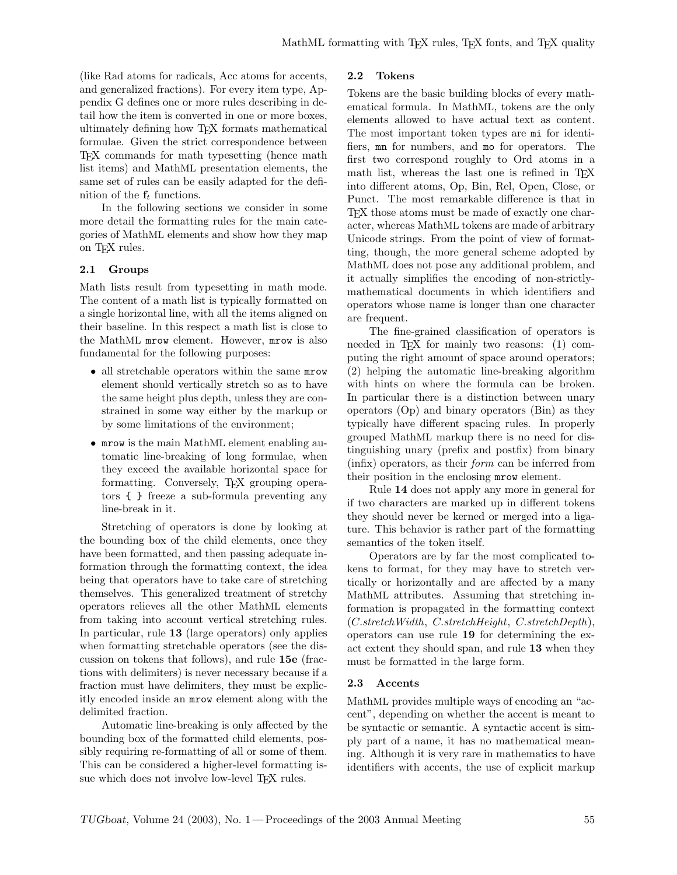(like Rad atoms for radicals, Acc atoms for accents, and generalized fractions). For every item type, Appendix G defines one or more rules describing in detail how the item is converted in one or more boxes, ultimately defining how TEX formats mathematical formulae. Given the strict correspondence between TEX commands for math typesetting (hence math list items) and MathML presentation elements, the same set of rules can be easily adapted for the definition of the  $f_t$  functions.

In the following sections we consider in some more detail the formatting rules for the main categories of MathML elements and show how they map on T<sub>F</sub>X rules.

### 2.1 Groups

Math lists result from typesetting in math mode. The content of a math list is typically formatted on a single horizontal line, with all the items aligned on their baseline. In this respect a math list is close to the MathML mrow element. However, mrow is also fundamental for the following purposes:

- all stretchable operators within the same mrow element should vertically stretch so as to have the same height plus depth, unless they are constrained in some way either by the markup or by some limitations of the environment;
- mrow is the main MathML element enabling automatic line-breaking of long formulae, when they exceed the available horizontal space for formatting. Conversely, T<sub>EX</sub> grouping operators { } freeze a sub-formula preventing any line-break in it.

Stretching of operators is done by looking at the bounding box of the child elements, once they have been formatted, and then passing adequate information through the formatting context, the idea being that operators have to take care of stretching themselves. This generalized treatment of stretchy operators relieves all the other MathML elements from taking into account vertical stretching rules. In particular, rule 13 (large operators) only applies when formatting stretchable operators (see the discussion on tokens that follows), and rule 15e (fractions with delimiters) is never necessary because if a fraction must have delimiters, they must be explicitly encoded inside an mrow element along with the delimited fraction.

Automatic line-breaking is only affected by the bounding box of the formatted child elements, possibly requiring re-formatting of all or some of them. This can be considered a higher-level formatting issue which does not involve low-level T<sub>EX</sub> rules.

### 2.2 Tokens

Tokens are the basic building blocks of every mathematical formula. In MathML, tokens are the only elements allowed to have actual text as content. The most important token types are mi for identifiers, mn for numbers, and mo for operators. The first two correspond roughly to Ord atoms in a math list, whereas the last one is refined in TFX into different atoms, Op, Bin, Rel, Open, Close, or Punct. The most remarkable difference is that in TEX those atoms must be made of exactly one character, whereas MathML tokens are made of arbitrary Unicode strings. From the point of view of formatting, though, the more general scheme adopted by MathML does not pose any additional problem, and it actually simplifies the encoding of non-strictlymathematical documents in which identifiers and operators whose name is longer than one character are frequent.

The fine-grained classification of operators is needed in T<sub>E</sub>X for mainly two reasons:  $(1)$  computing the right amount of space around operators; (2) helping the automatic line-breaking algorithm with hints on where the formula can be broken. In particular there is a distinction between unary operators (Op) and binary operators (Bin) as they typically have different spacing rules. In properly grouped MathML markup there is no need for distinguishing unary (prefix and postfix) from binary (infix) operators, as their form can be inferred from their position in the enclosing mrow element.

Rule 14 does not apply any more in general for if two characters are marked up in different tokens they should never be kerned or merged into a ligature. This behavior is rather part of the formatting semantics of the token itself.

Operators are by far the most complicated tokens to format, for they may have to stretch vertically or horizontally and are affected by a many MathML attributes. Assuming that stretching information is propagated in the formatting context (C.stretchWidth, C.stretchHeight, C.stretchDepth), operators can use rule 19 for determining the exact extent they should span, and rule 13 when they must be formatted in the large form.

### 2.3 Accents

MathML provides multiple ways of encoding an "accent", depending on whether the accent is meant to be syntactic or semantic. A syntactic accent is simply part of a name, it has no mathematical meaning. Although it is very rare in mathematics to have identifiers with accents, the use of explicit markup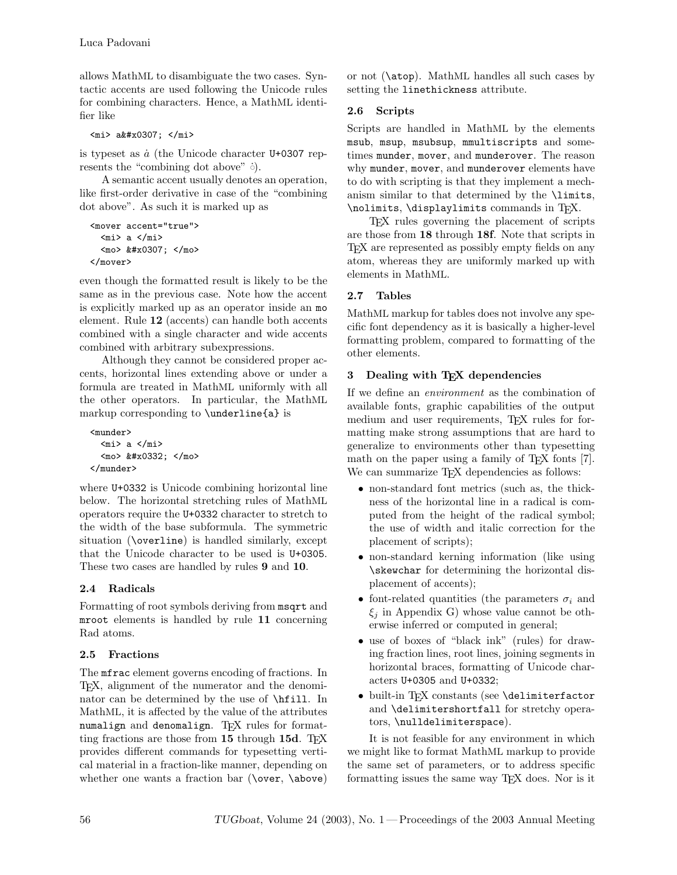allows MathML to disambiguate the two cases. Syntactic accents are used following the Unicode rules for combining characters. Hence, a MathML identifier like

 $<sub>min</sub>$  a  $<sub>k</sub>$ #x0307;  $<$ /mi></sub></sub>

is typeset as  $\dot{a}$  (the Unicode character U+0307 represents the "combining dot above" ்).

A semantic accent usually denotes an operation, like first-order derivative in case of the "combining dot above". As such it is marked up as

```
<mover accent="true">
  <mi> a </mi>
  <mo> &#x0307; </mo>
</mover>
```
even though the formatted result is likely to be the same as in the previous case. Note how the accent is explicitly marked up as an operator inside an mo element. Rule 12 (accents) can handle both accents combined with a single character and wide accents combined with arbitrary subexpressions.

Although they cannot be considered proper accents, horizontal lines extending above or under a formula are treated in MathML uniformly with all the other operators. In particular, the MathML markup corresponding to \underline{a} is

```
<munder>
   <sub>min</sub> > a < /min></sub>
   <mo> &#x0332; </mo>
</munder>
```
where U+0332 is Unicode combining horizontal line below. The horizontal stretching rules of MathML operators require the U+0332 character to stretch to the width of the base subformula. The symmetric situation (\overline) is handled similarly, except that the Unicode character to be used is U+0305. These two cases are handled by rules 9 and 10.

# 2.4 Radicals

Formatting of root symbols deriving from msqrt and mroot elements is handled by rule 11 concerning Rad atoms.

# 2.5 Fractions

The mfrac element governs encoding of fractions. In TEX, alignment of the numerator and the denominator can be determined by the use of \hfill. In MathML, it is affected by the value of the attributes numalign and denomalign. TFX rules for formatting fractions are those from 15 through 15d. TEX provides different commands for typesetting vertical material in a fraction-like manner, depending on whether one wants a fraction bar (\over, \above)

or not (\atop). MathML handles all such cases by setting the linethickness attribute.

# 2.6 Scripts

Scripts are handled in MathML by the elements msub, msup, msubsup, mmultiscripts and sometimes munder, mover, and munderover. The reason why munder, mover, and munderover elements have to do with scripting is that they implement a mechanism similar to that determined by the \limits, \nolimits, \displaylimits commands in TFX.

TEX rules governing the placement of scripts are those from 18 through 18f. Note that scripts in T<sub>EX</sub> are represented as possibly empty fields on any atom, whereas they are uniformly marked up with elements in MathML.

# 2.7 Tables

MathML markup for tables does not involve any specific font dependency as it is basically a higher-level formatting problem, compared to formatting of the other elements.

# 3 Dealing with T<sub>E</sub>X dependencies

If we define an environment as the combination of available fonts, graphic capabilities of the output medium and user requirements, TEX rules for formatting make strong assumptions that are hard to generalize to environments other than typesetting math on the paper using a family of TFX fonts [7]. We can summarize TFX dependencies as follows:

- non-standard font metrics (such as, the thickness of the horizontal line in a radical is computed from the height of the radical symbol; the use of width and italic correction for the placement of scripts);
- non-standard kerning information (like using \skewchar for determining the horizontal displacement of accents);
- font-related quantities (the parameters  $\sigma_i$  and  $\xi_j$  in Appendix G) whose value cannot be otherwise inferred or computed in general;
- use of boxes of "black ink" (rules) for drawing fraction lines, root lines, joining segments in horizontal braces, formatting of Unicode characters U+0305 and U+0332;
- built-in TFX constants (see \delimiterfactor and \delimitershortfall for stretchy operators, \nulldelimiterspace).

It is not feasible for any environment in which we might like to format MathML markup to provide the same set of parameters, or to address specific formatting issues the same way TEX does. Nor is it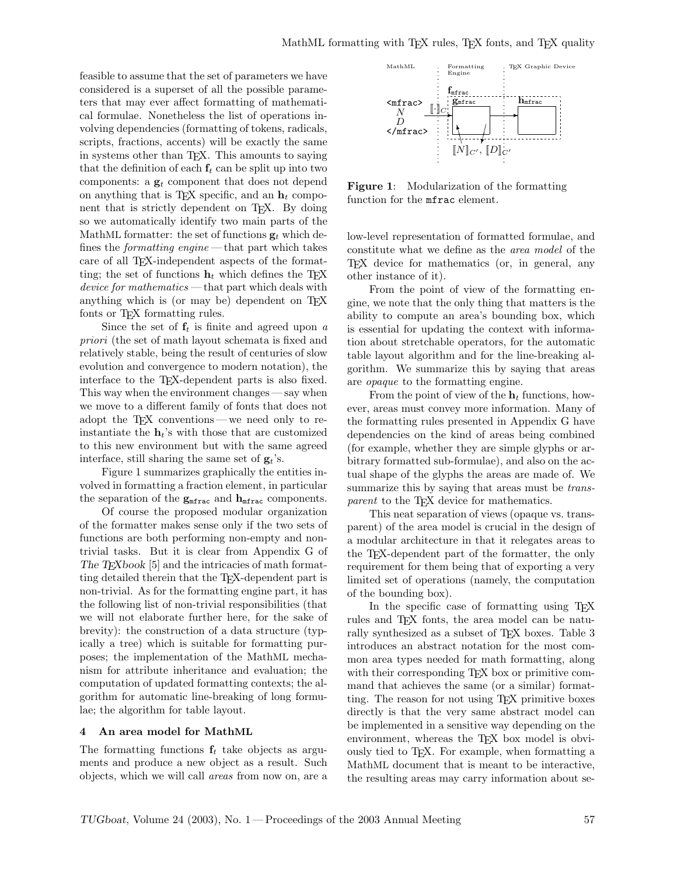feasible to assume that the set of parameters we have considered is a superset of all the possible parameters that may ever affect formatting of mathematical formulae. Nonetheless the list of operations involving dependencies (formatting of tokens, radicals, scripts, fractions, accents) will be exactly the same in systems other than T<sub>E</sub>X. This amounts to saying that the definition of each  $f_t$  can be split up into two components: a  $\mathbf{g}_t$  component that does not depend on anything that is T<sub>E</sub>X specific, and an  $h_t$  component that is strictly dependent on T<sub>E</sub>X. By doing so we automatically identify two main parts of the MathML formatter: the set of functions  $\mathbf{g}_t$  which defines the *formatting engine* — that part which takes care of all T<sub>E</sub>X-independent aspects of the formatting; the set of functions  $h_t$  which defines the T<sub>E</sub>X device for mathematics — that part which deals with anything which is (or may be) dependent on T<sub>EX</sub> fonts or T<sub>E</sub>X formatting rules.

Since the set of  $f_t$  is finite and agreed upon a priori (the set of math layout schemata is fixed and relatively stable, being the result of centuries of slow evolution and convergence to modern notation), the interface to the TEX-dependent parts is also fixed. This way when the environment changes — say when we move to a different family of fonts that does not adopt the TEX conventions — we need only to reinstantiate the  $\mathbf{h}_t$ 's with those that are customized to this new environment but with the same agreed interface, still sharing the same set of  $g_t$ 's.

Figure 1 summarizes graphically the entities involved in formatting a fraction element, in particular the separation of the  $g_{\text{mfrac}}$  and  $h_{\text{mfrac}}$  components.

Of course the proposed modular organization of the formatter makes sense only if the two sets of functions are both performing non-empty and nontrivial tasks. But it is clear from Appendix G of The TEXbook [5] and the intricacies of math formatting detailed therein that the TEX-dependent part is non-trivial. As for the formatting engine part, it has the following list of non-trivial responsibilities (that we will not elaborate further here, for the sake of brevity): the construction of a data structure (typically a tree) which is suitable for formatting purposes; the implementation of the MathML mechanism for attribute inheritance and evaluation; the computation of updated formatting contexts; the algorithm for automatic line-breaking of long formulae; the algorithm for table layout.

### 4 An area model for MathML

The formatting functions  $f_t$  take objects as arguments and produce a new object as a result. Such objects, which we will call areas from now on, are a



Figure 1: Modularization of the formatting function for the mfrac element.

low-level representation of formatted formulae, and constitute what we define as the area model of the TEX device for mathematics (or, in general, any other instance of it).

From the point of view of the formatting engine, we note that the only thing that matters is the ability to compute an area's bounding box, which is essential for updating the context with information about stretchable operators, for the automatic table layout algorithm and for the line-breaking algorithm. We summarize this by saying that areas are opaque to the formatting engine.

From the point of view of the  $h_t$  functions, however, areas must convey more information. Many of the formatting rules presented in Appendix G have dependencies on the kind of areas being combined (for example, whether they are simple glyphs or arbitrary formatted sub-formulae), and also on the actual shape of the glyphs the areas are made of. We summarize this by saying that areas must be *trans*parent to the T<sub>EX</sub> device for mathematics.

This neat separation of views (opaque vs. transparent) of the area model is crucial in the design of a modular architecture in that it relegates areas to the TEX-dependent part of the formatter, the only requirement for them being that of exporting a very limited set of operations (namely, the computation of the bounding box).

In the specific case of formatting using TEX rules and T<sub>E</sub>X fonts, the area model can be naturally synthesized as a subset of T<sub>E</sub>X boxes. Table 3 introduces an abstract notation for the most common area types needed for math formatting, along with their corresponding T<sub>E</sub>X box or primitive command that achieves the same (or a similar) formatting. The reason for not using TEX primitive boxes directly is that the very same abstract model can be implemented in a sensitive way depending on the environment, whereas the T<sub>EX</sub> box model is obviously tied to TEX. For example, when formatting a MathML document that is meant to be interactive, the resulting areas may carry information about se-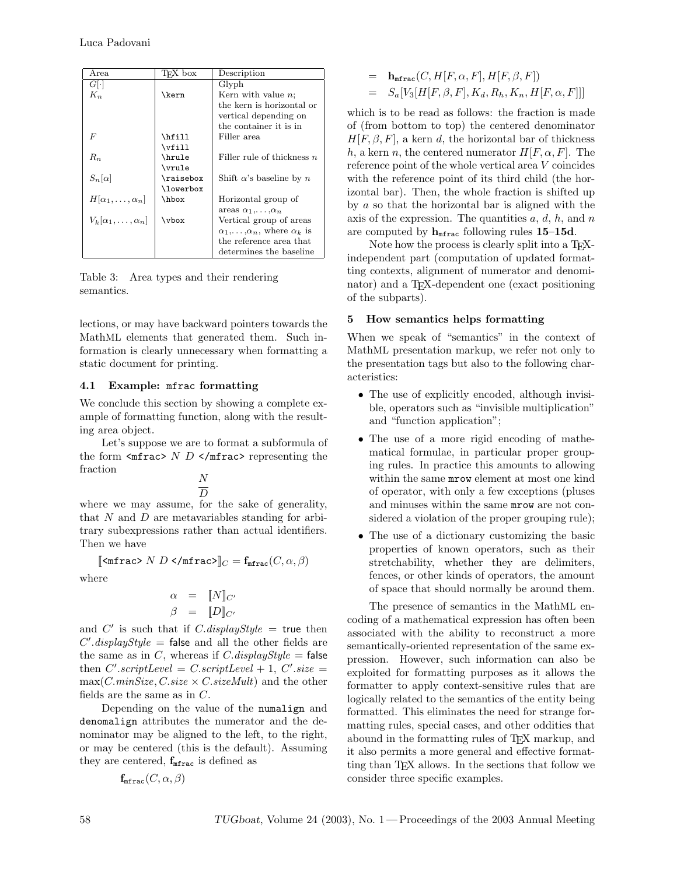| Area                            | TFX box      | Description                                        |
|---------------------------------|--------------|----------------------------------------------------|
| $G[\cdot]$                      |              | Glyph                                              |
| $K_n$                           | <b>\kern</b> | Kern with value $n$ ;                              |
|                                 |              | the kern is horizontal or                          |
|                                 |              | vertical depending on                              |
|                                 |              | the container it is in                             |
| F                               | \hfill       | Filler area                                        |
|                                 | \vfill       |                                                    |
| $R_n$                           | \hrule       | Filler rule of thickness $n$                       |
|                                 | \vrule       |                                                    |
| $S_n[\alpha]$                   | \raisebox    | Shift $\alpha$ 's baseline by n                    |
|                                 | \lowerbox    |                                                    |
| $H[\alpha_1,\ldots,\alpha_n]$   | \hbox        | Horizontal group of                                |
|                                 |              | areas $\alpha_1, \ldots, \alpha_n$                 |
| $V_k[\alpha_1,\ldots,\alpha_n]$ | \vbox        | Vertical group of areas                            |
|                                 |              | $\alpha_1, \ldots, \alpha_n$ , where $\alpha_k$ is |
|                                 |              | the reference area that                            |
|                                 |              | determines the baseline                            |

Table 3: Area types and their rendering semantics.

lections, or may have backward pointers towards the MathML elements that generated them. Such information is clearly unnecessary when formatting a static document for printing.

## 4.1 Example: mfrac formatting

We conclude this section by showing a complete example of formatting function, along with the resulting area object.

Let's suppose we are to format a subformula of the form  $\langle \text{mfrac} \rangle$   $N$  D  $\langle \text{mfrac} \rangle$  representing the fraction

N  $\overline{D}$ 

where we may assume, for the sake of generality, that  $N$  and  $D$  are metavariables standing for arbitrary subexpressions rather than actual identifiers. Then we have

 $\llbracket \text{Suffrac> N } D \text{ S/mfrac} = \mathbf{f}_{\text{mfrac}}(C, \alpha, \beta)$ 

where

$$
\begin{array}{rcl} \alpha & = & \llbracket N \rrbracket_{C'} \\ \beta & = & \llbracket D \rrbracket_{C'} \end{array}
$$

and C' is such that if C.displayStyle = true then  $C'.displayStyle = false$  and all the other fields are the same as in C, whereas if C.displayStyle = false then  $C'.scriptLevel = C.scriptLevel + 1, C'.size =$  $max(C.minSize, C.size \times C.sizeMult)$  and the other fields are the same as in C.

Depending on the value of the numalign and denomalign attributes the numerator and the denominator may be aligned to the left, to the right, or may be centered (this is the default). Assuming they are centered,  $f_{mfrac}$  is defined as

$$
\mathbf{f}_{\texttt{mfrac}}(C, \alpha, \beta)
$$

$$
= \mathbf{h}_{\texttt{mfrac}}(C, H[F, \alpha, F], H[F, \beta, F])
$$
  

$$
= S_a[V_3[H[F, \beta, F], K_d, R_h, K_n, H[F, \alpha, F]]]
$$

which is to be read as follows: the fraction is made of (from bottom to top) the centered denominator  $H[F, \beta, F]$ , a kern d, the horizontal bar of thickness h, a kern n, the centered numerator  $H[F, \alpha, F]$ . The reference point of the whole vertical area V coincides with the reference point of its third child (the horizontal bar). Then, the whole fraction is shifted up by  $a$  so that the horizontal bar is aligned with the axis of the expression. The quantities  $a, d, h$ , and  $n$ are computed by  $h_{\text{mfrac}}$  following rules 15–15d.

Note how the process is clearly split into a T<sub>F</sub>Xindependent part (computation of updated formatting contexts, alignment of numerator and denominator) and a TEX-dependent one (exact positioning of the subparts).

## 5 How semantics helps formatting

When we speak of "semantics" in the context of MathML presentation markup, we refer not only to the presentation tags but also to the following characteristics:

- The use of explicitly encoded, although invisible, operators such as "invisible multiplication" and "function application";
- The use of a more rigid encoding of mathematical formulae, in particular proper grouping rules. In practice this amounts to allowing within the same mrow element at most one kind of operator, with only a few exceptions (pluses and minuses within the same mrow are not considered a violation of the proper grouping rule);
- The use of a dictionary customizing the basic properties of known operators, such as their stretchability, whether they are delimiters, fences, or other kinds of operators, the amount of space that should normally be around them.

The presence of semantics in the MathML encoding of a mathematical expression has often been associated with the ability to reconstruct a more semantically-oriented representation of the same expression. However, such information can also be exploited for formatting purposes as it allows the formatter to apply context-sensitive rules that are logically related to the semantics of the entity being formatted. This eliminates the need for strange formatting rules, special cases, and other oddities that abound in the formatting rules of TEX markup, and it also permits a more general and effective formatting than TEX allows. In the sections that follow we consider three specific examples.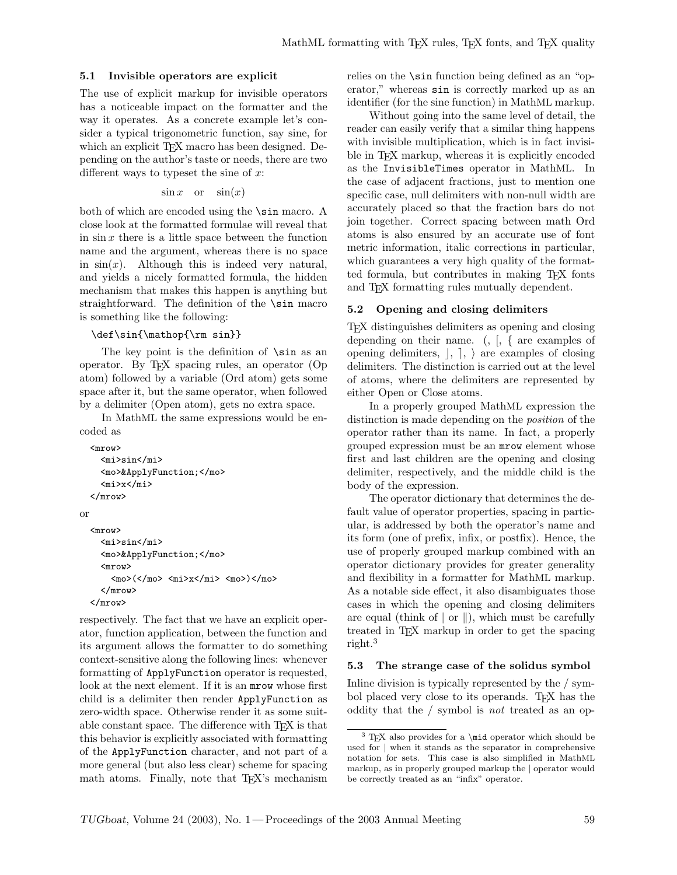### 5.1 Invisible operators are explicit

The use of explicit markup for invisible operators has a noticeable impact on the formatter and the way it operates. As a concrete example let's consider a typical trigonometric function, say sine, for which an explicit T<sub>E</sub>X macro has been designed. Depending on the author's taste or needs, there are two different ways to typeset the sine of  $x$ :

$$
\sin x \quad \text{or} \quad \sin(x)
$$

both of which are encoded using the \sin macro. A close look at the formatted formulae will reveal that in  $\sin x$  there is a little space between the function name and the argument, whereas there is no space in  $sin(x)$ . Although this is indeed very natural, and yields a nicely formatted formula, the hidden mechanism that makes this happen is anything but straightforward. The definition of the \sin macro is something like the following:

#### \def\sin{\mathop{\rm sin}}

The key point is the definition of \sin as an operator. By TEX spacing rules, an operator (Op atom) followed by a variable (Ord atom) gets some space after it, but the same operator, when followed by a delimiter (Open atom), gets no extra space.

In MathML the same expressions would be encoded as

```
<mrow>
    <mi>sin</mi>
    <mo>&ApplyFunction;</mo>
    <mi>x</mi>
  </mrow>
or
  <mrow>
    <mi>sin</mi>
    <mo>&ApplyFunction;</mo>
    <mrow>
      <mo>(</mo> <mi>x</mi> <mo>)</mo>
    </mrow>
  </mrow>
```
respectively. The fact that we have an explicit operator, function application, between the function and its argument allows the formatter to do something context-sensitive along the following lines: whenever formatting of ApplyFunction operator is requested, look at the next element. If it is an mrow whose first child is a delimiter then render ApplyFunction as zero-width space. Otherwise render it as some suitable constant space. The difference with T<sub>EX</sub> is that this behavior is explicitly associated with formatting of the ApplyFunction character, and not part of a more general (but also less clear) scheme for spacing math atoms. Finally, note that TEX's mechanism relies on the \sin function being defined as an "operator," whereas sin is correctly marked up as an identifier (for the sine function) in MathML markup.

Without going into the same level of detail, the reader can easily verify that a similar thing happens with invisible multiplication, which is in fact invisible in T<sub>EX</sub> markup, whereas it is explicitly encoded as the InvisibleTimes operator in MathML. In the case of adjacent fractions, just to mention one specific case, null delimiters with non-null width are accurately placed so that the fraction bars do not join together. Correct spacing between math Ord atoms is also ensured by an accurate use of font metric information, italic corrections in particular, which guarantees a very high quality of the formatted formula, but contributes in making TEX fonts and TEX formatting rules mutually dependent.

## 5.2 Opening and closing delimiters

TEX distinguishes delimiters as opening and closing depending on their name. (, [, { are examples of opening delimiters,  $\vert, \vert, \rangle$  are examples of closing delimiters. The distinction is carried out at the level of atoms, where the delimiters are represented by either Open or Close atoms.

In a properly grouped MathML expression the distinction is made depending on the *position* of the operator rather than its name. In fact, a properly grouped expression must be an mrow element whose first and last children are the opening and closing delimiter, respectively, and the middle child is the body of the expression.

The operator dictionary that determines the default value of operator properties, spacing in particular, is addressed by both the operator's name and its form (one of prefix, infix, or postfix). Hence, the use of properly grouped markup combined with an operator dictionary provides for greater generality and flexibility in a formatter for MathML markup. As a notable side effect, it also disambiguates those cases in which the opening and closing delimiters are equal (think of  $\vert$  or  $\vert$ ), which must be carefully treated in TEX markup in order to get the spacing right.<sup>3</sup>

### 5.3 The strange case of the solidus symbol

Inline division is typically represented by the / symbol placed very close to its operands. T<sub>EX</sub> has the oddity that the / symbol is not treated as an op-

 $^3$  TEX also provides for a \mid operator which should be used for | when it stands as the separator in comprehensive notation for sets. This case is also simplified in MathML markup, as in properly grouped markup the | operator would be correctly treated as an "infix" operator.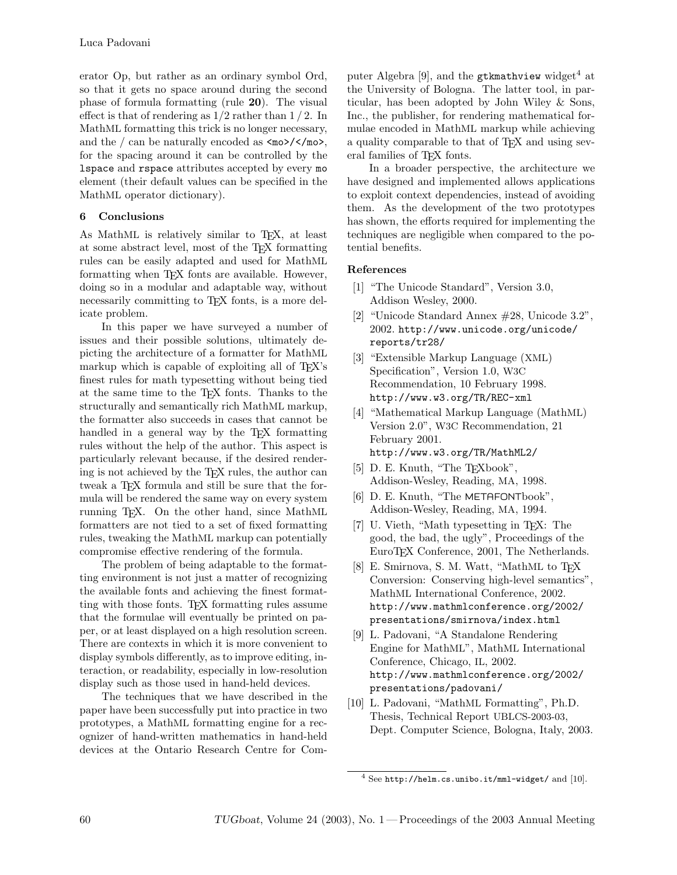erator Op, but rather as an ordinary symbol Ord, so that it gets no space around during the second phase of formula formatting (rule 20). The visual effect is that of rendering as  $1/2$  rather than  $1/2$ . In MathML formatting this trick is no longer necessary, and the / can be naturally encoded as  $\langle \text{mod}\rangle$ / $\langle \text{mod}\rangle$ , for the spacing around it can be controlled by the lspace and rspace attributes accepted by every mo element (their default values can be specified in the MathML operator dictionary).

## 6 Conclusions

As MathML is relatively similar to T<sub>E</sub>X, at least at some abstract level, most of the TEX formatting rules can be easily adapted and used for MathML formatting when T<sub>E</sub>X fonts are available. However, doing so in a modular and adaptable way, without necessarily committing to T<sub>EX</sub> fonts, is a more delicate problem.

In this paper we have surveyed a number of issues and their possible solutions, ultimately depicting the architecture of a formatter for MathML markup which is capable of exploiting all of T<sub>EX</sub>'s finest rules for math typesetting without being tied at the same time to the TEX fonts. Thanks to the structurally and semantically rich MathML markup, the formatter also succeeds in cases that cannot be handled in a general way by the T<sub>E</sub>X formatting rules without the help of the author. This aspect is particularly relevant because, if the desired rendering is not achieved by the TEX rules, the author can tweak a T<sub>E</sub>X formula and still be sure that the formula will be rendered the same way on every system running TEX. On the other hand, since MathML formatters are not tied to a set of fixed formatting rules, tweaking the MathML markup can potentially compromise effective rendering of the formula.

The problem of being adaptable to the formatting environment is not just a matter of recognizing the available fonts and achieving the finest formatting with those fonts. TEX formatting rules assume that the formulae will eventually be printed on paper, or at least displayed on a high resolution screen. There are contexts in which it is more convenient to display symbols differently, as to improve editing, interaction, or readability, especially in low-resolution display such as those used in hand-held devices.

The techniques that we have described in the paper have been successfully put into practice in two prototypes, a MathML formatting engine for a recognizer of hand-written mathematics in hand-held devices at the Ontario Research Centre for Computer Algebra [9], and the gtkmathview widget<sup>4</sup> at the University of Bologna. The latter tool, in particular, has been adopted by John Wiley & Sons, Inc., the publisher, for rendering mathematical formulae encoded in MathML markup while achieving a quality comparable to that of TEX and using several families of TEX fonts.

In a broader perspective, the architecture we have designed and implemented allows applications to exploit context dependencies, instead of avoiding them. As the development of the two prototypes has shown, the efforts required for implementing the techniques are negligible when compared to the potential benefits.

## References

- [1] "The Unicode Standard", Version 3.0, Addison Wesley, 2000.
- [2] "Unicode Standard Annex #28, Unicode 3.2", 2002. http://www.unicode.org/unicode/ reports/tr28/
- [3] "Extensible Markup Language (XML) Specification", Version 1.0, W3C Recommendation, 10 February 1998. http://www.w3.org/TR/REC-xml
- [4] "Mathematical Markup Language (MathML) Version 2.0", W3C Recommendation, 21 February 2001. http://www.w3.org/TR/MathML2/
- [5] D. E. Knuth, "The T<sub>E</sub>Xbook", Addison-Wesley, Reading, MA, 1998.
- [6] D. E. Knuth, "The METAFONTbook", Addison-Wesley, Reading, MA, 1994.
- [7] U. Vieth, "Math typesetting in TEX: The good, the bad, the ugly", Proceedings of the EuroTEX Conference, 2001, The Netherlands.
- [8] E. Smirnova, S. M. Watt, "MathML to TFX Conversion: Conserving high-level semantics", MathML International Conference, 2002. http://www.mathmlconference.org/2002/ presentations/smirnova/index.html
- [9] L. Padovani, "A Standalone Rendering Engine for MathML", MathML International Conference, Chicago, IL, 2002. http://www.mathmlconference.org/2002/ presentations/padovani/
- [10] L. Padovani, "MathML Formatting", Ph.D. Thesis, Technical Report UBLCS-2003-03, Dept. Computer Science, Bologna, Italy, 2003.

<sup>4</sup> See http://helm.cs.unibo.it/mml-widget/ and [10].